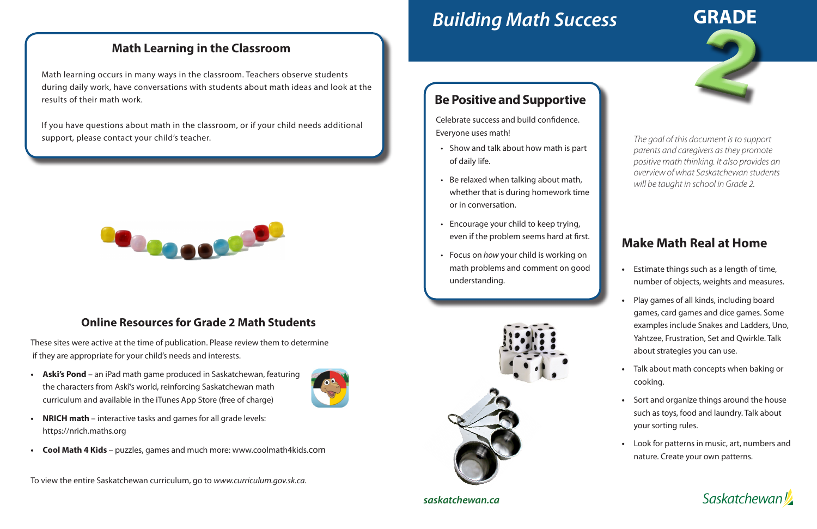# *Building Math Success*

#### **Online Resources for Grade 2 Math Students**

These sites were active at the time of publication. Please review them to determine if they are appropriate for your child's needs and interests.

**• Askî's Pond** – an iPad math game produced in Saskatchewan, featuring the characters from Askî's world, reinforcing Saskatchewan math curriculum and available in the iTunes App Store (free of charge)



**• Cool Math 4 Kids** – puzzles, games and much more: www.coolmath4kids.com

To view the entire Saskatchewan curriculum, go to *www.curriculum.gov.sk.ca*.



## **Math Learning in the Classroom**

Math learning occurs in many ways in the classroom. Teachers observe students during daily work, have conversations with students about math ideas and look at the results of their math work.

If you have questions about math in the classroom, or if your child needs additional support, please contact your child's teacher.





#### *saskatchewan.ca*

### **Be Positive and Supportive**

Celebrate success and build confidence. Everyone uses math!

- Show and talk about how math is part of daily life.
- Be relaxed when talking about math, whether that is during homework time or in conversation.
- Encourage your child to keep trying, even if the problem seems hard at first.
- Focus on *how* your child is working on math problems and comment on good understanding.



*The goal of this document is to support parents and caregivers as they promote positive math thinking. It also provides an overview of what Saskatchewan students will be taught in school in Grade 2.*

# **Make Math Real at Home**

- **•** Estimate things such as a length of time, number of objects, weights and measures.
- **•** Play games of all kinds, including board games, card games and dice games. Some examples include Snakes and Ladders, Uno, Yahtzee, Frustration, Set and Qwirkle. Talk about strategies you can use.
- **•** Talk about math concepts when baking or cooking.
- **•** Sort and organize things around the house such as toys, food and laundry. Talk about your sorting rules.
- **•** Look for patterns in music, art, numbers and nature. Create your own patterns.

**Saskatchewan**